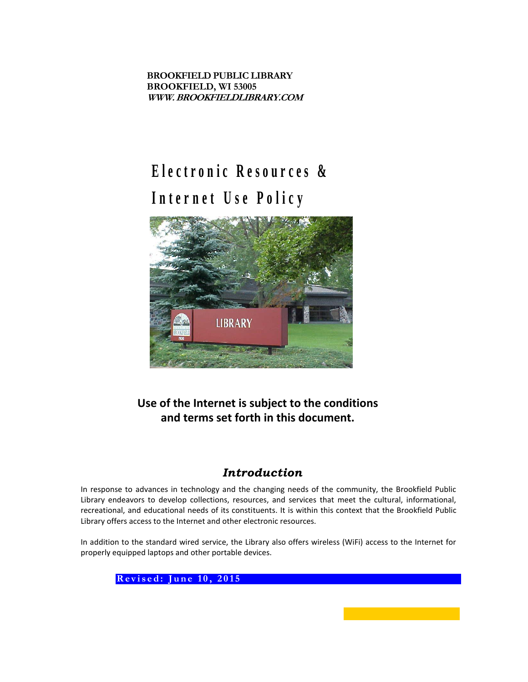**BROOKFIELD PUBLIC LIBRARY BROOKFIELD, WI 53005 WWW. BROOKFIELDLIBRARY.COM**

# Electronic Resources & **I n t e r n e t U s e P o l i c y**



# **Use of the Internet is subject to the conditions and terms set forth in this document.**

## *Introduction*

In response to advances in technology and the changing needs of the community, the Brookfield Public Library endeavors to develop collections, resources, and services that meet the cultural, informational, recreational, and educational needs of its constituents. It is within this context that the Brookfield Public Library offers access to the Internet and other electronic resources.

In addition to the standard wired service, the Library also offers wireless (WiFi) access to the Internet for properly equipped laptops and other portable devices.

**Revised: June 10, 2015**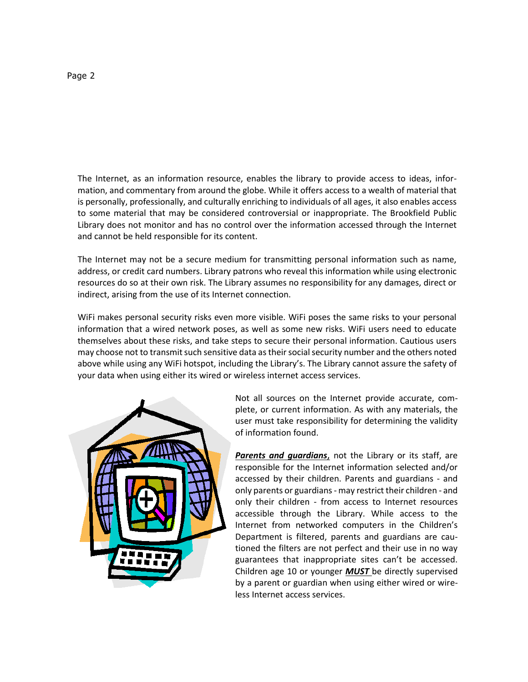The Internet, as an information resource, enables the library to provide access to ideas, information, and commentary from around the globe. While it offers access to a wealth of material that is personally, professionally, and culturally enriching to individuals of all ages, it also enables access to some material that may be considered controversial or inappropriate. The Brookfield Public Library does not monitor and has no control over the information accessed through the Internet and cannot be held responsible for its content.

The Internet may not be a secure medium for transmitting personal information such as name, address, or credit card numbers. Library patrons who reveal this information while using electronic resources do so at their own risk. The Library assumes no responsibility for any damages, direct or indirect, arising from the use of its Internet connection.

WiFi makes personal security risks even more visible. WiFi poses the same risks to your personal information that a wired network poses, as well as some new risks. WiFi users need to educate themselves about these risks, and take steps to secure their personal information. Cautious users may choose not to transmit such sensitive data as their social security number and the others noted above while using any WiFi hotspot, including the Library's. The Library cannot assure the safety of your data when using either its wired or wireless internet access services.



Not all sources on the Internet provide accurate, complete, or current information. As with any materials, the user must take responsibility for determining the validity of information found.

*Parents and guardians*, not the Library or its staff, are responsible for the Internet information selected and/or accessed by their children. Parents and guardians - and only parents or guardians - may restrict their children - and only their children - from access to Internet resources accessible through the Library. While access to the Internet from networked computers in the Children's Department is filtered, parents and guardians are cautioned the filters are not perfect and their use in no way guarantees that inappropriate sites can't be accessed. Children age 10 or younger *MUST* be directly supervised by a parent or guardian when using either wired or wireless Internet access services.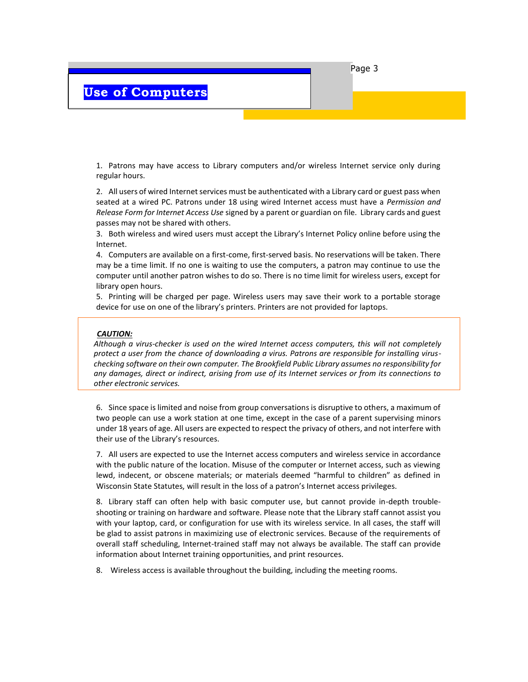Page 3

# **Use of Computers**

1. Patrons may have access to Library computers and/or wireless Internet service only during regular hours.

2. All users of wired Internet services must be authenticated with a Library card or guest pass when seated at a wired PC. Patrons under 18 using wired Internet access must have a *Permission and Release Form for Internet Access Use* signed by a parent or guardian on file. Library cards and guest passes may not be shared with others.

3. Both wireless and wired users must accept the Library's Internet Policy online before using the Internet.

4. Computers are available on a first-come, first-served basis. No reservations will be taken. There may be a time limit. If no one is waiting to use the computers, a patron may continue to use the computer until another patron wishes to do so. There is no time limit for wireless users, except for library open hours.

5. Printing will be charged per page. Wireless users may save their work to a portable storage device for use on one of the library's printers. Printers are not provided for laptops.

### *CAUTION:*

*Although a virus-checker is used on the wired Internet access computers, this will not completely protect a user from the chance of downloading a virus. Patrons are responsible for installing viruschecking software on their own computer. The Brookfield Public Library assumes no responsibility for any damages, direct or indirect, arising from use of its Internet services or from its connections to other electronic services.*

6. Since space is limited and noise from group conversations is disruptive to others, a maximum of two people can use a work station at one time, except in the case of a parent supervising minors under 18 years of age. All users are expected to respect the privacy of others, and not interfere with their use of the Library's resources.

7. All users are expected to use the Internet access computers and wireless service in accordance with the public nature of the location. Misuse of the computer or Internet access, such as viewing lewd, indecent, or obscene materials; or materials deemed "harmful to children" as defined in Wisconsin State Statutes, will result in the loss of a patron's Internet access privileges.

8. Library staff can often help with basic computer use, but cannot provide in-depth troubleshooting or training on hardware and software. Please note that the Library staff cannot assist you with your laptop, card, or configuration for use with its wireless service. In all cases, the staff will be glad to assist patrons in maximizing use of electronic services. Because of the requirements of overall staff scheduling, Internet-trained staff may not always be available. The staff can provide information about Internet training opportunities, and print resources.

8. Wireless access is available throughout the building, including the meeting rooms.